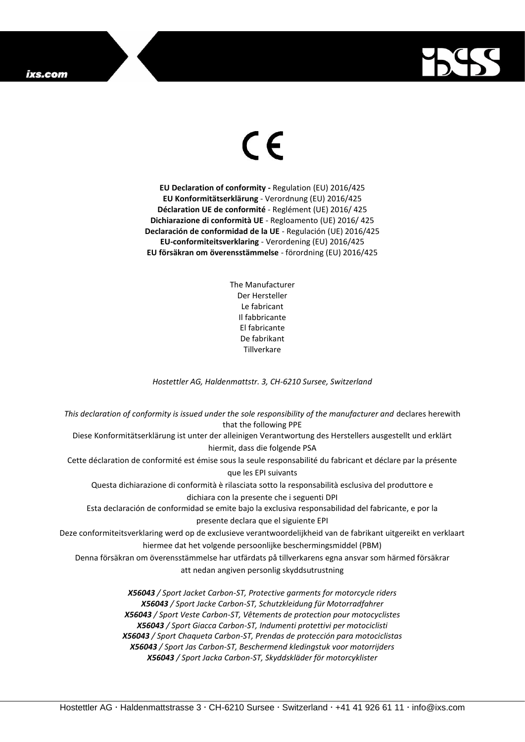## ixs.com



## $\epsilon$

**EU Declaration of conformity -** Regulation (EU) 2016/425 **EU Konformitätserklärung** - Verordnung (EU) 2016/425 **Déclaration UE de conformité** - Reglément (UE) 2016/ 425 **Dichiarazione di conformità UE** - Regloamento (UE) 2016/ 425 **Declaración de conformidad de la UE** - Regulación (UE) 2016/425 **EU-conformiteitsverklaring** - Verordening (EU) 2016/425 **EU försäkran om överensstämmelse** - förordning (EU) 2016/425

> The Manufacturer Der Hersteller Le fabricant Il fabbricante El fabricante De fabrikant **Tillverkare**

*Hostettler AG, Haldenmattstr. 3, CH-6210 Sursee, Switzerland*

*This declaration of conformity is issued under the sole responsibility of the manufacturer and* declares herewith that the following PPE Diese Konformitätserklärung ist unter der alleinigen Verantwortung des Herstellers ausgestellt und erklärt hiermit, dass die folgende PSA Cette déclaration de conformité est émise sous la seule responsabilité du fabricant et déclare par la présente que les EPI suivants Questa dichiarazione di conformità è rilasciata sotto la responsabilità esclusiva del produttore e dichiara con la presente che i seguenti DPI Esta declaración de conformidad se emite bajo la exclusiva responsabilidad del fabricante, e por la presente declara que el siguiente EPI Deze conformiteitsverklaring werd op de exclusieve verantwoordelijkheid van de fabrikant uitgereikt en verklaart hiermee dat het volgende persoonlijke beschermingsmiddel (PBM) Denna försäkran om överensstämmelse har utfärdats på tillverkarens egna ansvar som härmed försäkrar att nedan angiven personlig skyddsutrustning *X56043 / Sport Jacket Carbon-ST, Protective garments for motorcycle riders X56043 / Sport Jacke Carbon-ST, Schutzkleidung für Motorradfahrer X56043 / Sport Veste Carbon-ST, Vêtements de protection pour motocyclistes X56043 / Sport Giacca Carbon-ST, Indumenti protettivi per motociclisti X56043 / Sport Chaqueta Carbon-ST, Prendas de protección para motociclistas*

*X56043 / Sport Jas Carbon-ST, Beschermend kledingstuk voor motorrijders X56043 / Sport Jacka Carbon-ST, Skyddskläder för motorcyklister*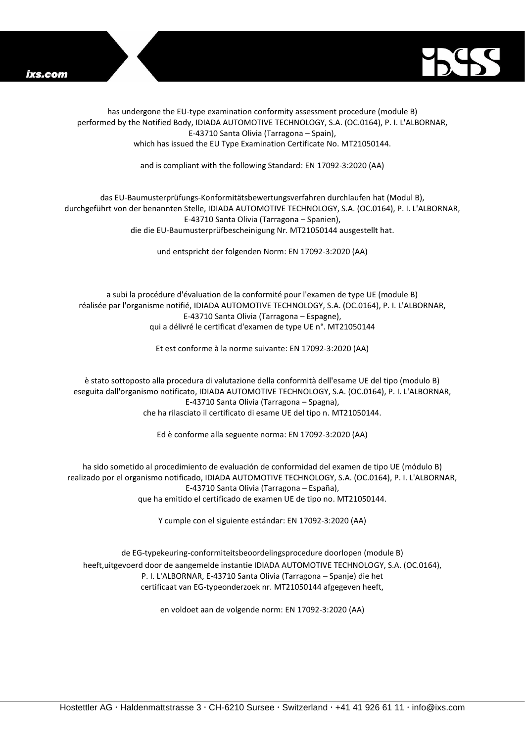



has undergone the EU-type examination conformity assessment procedure (module B) performed by the Notified Body, IDIADA AUTOMOTIVE TECHNOLOGY, S.A. (OC.0164), P. I. L'ALBORNAR, E-43710 Santa Olivia (Tarragona – Spain), which has issued the EU Type Examination Certificate No. MT21050144.

and is compliant with the following Standard: EN 17092-3:2020 (AA)

## das EU-Baumusterprüfungs-Konformitätsbewertungsverfahren durchlaufen hat (Modul B), durchgeführt von der benannten Stelle, IDIADA AUTOMOTIVE TECHNOLOGY, S.A. (OC.0164), P. I. L'ALBORNAR, E-43710 Santa Olivia (Tarragona – Spanien), die die EU-Baumusterprüfbescheinigung Nr. MT21050144 ausgestellt hat.

und entspricht der folgenden Norm: EN 17092-3:2020 (AA)

a subi la procédure d'évaluation de la conformité pour l'examen de type UE (module B) réalisée par l'organisme notifié, IDIADA AUTOMOTIVE TECHNOLOGY, S.A. (OC.0164), P. I. L'ALBORNAR, E-43710 Santa Olivia (Tarragona – Espagne), qui a délivré le certificat d'examen de type UE n°. MT21050144

Et est conforme à la norme suivante: EN 17092-3:2020 (AA)

è stato sottoposto alla procedura di valutazione della conformità dell'esame UE del tipo (modulo B) eseguita dall'organismo notificato, IDIADA AUTOMOTIVE TECHNOLOGY, S.A. (OC.0164), P. I. L'ALBORNAR, E-43710 Santa Olivia (Tarragona – Spagna), che ha rilasciato il certificato di esame UE del tipo n. MT21050144.

Ed è conforme alla seguente norma: EN 17092-3:2020 (AA)

ha sido sometido al procedimiento de evaluación de conformidad del examen de tipo UE (módulo B) realizado por el organismo notificado, IDIADA AUTOMOTIVE TECHNOLOGY, S.A. (OC.0164), P. I. L'ALBORNAR, E-43710 Santa Olivia (Tarragona – España), que ha emitido el certificado de examen UE de tipo no. MT21050144.

Y cumple con el siguiente estándar: EN 17092-3:2020 (AA)

de EG-typekeuring-conformiteitsbeoordelingsprocedure doorlopen (module B) heeft,uitgevoerd door de aangemelde instantie IDIADA AUTOMOTIVE TECHNOLOGY, S.A. (OC.0164), P. I. L'ALBORNAR, E-43710 Santa Olivia (Tarragona – Spanje) die het certificaat van EG-typeonderzoek nr. MT21050144 afgegeven heeft,

en voldoet aan de volgende norm: EN 17092-3:2020 (AA)